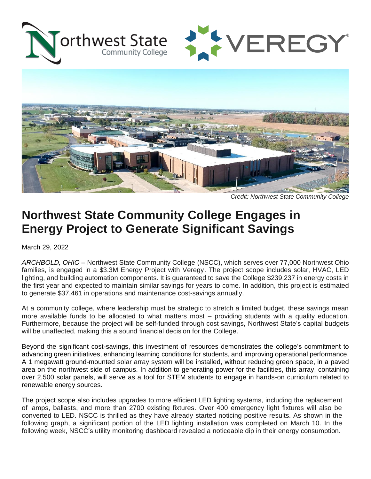





*Credit: Northwest State Community College*

## **Northwest State Community College Engages in Energy Project to Generate Significant Savings**

March 29, 2022

*ARCHBOLD, OHIO* – Northwest State Community College (NSCC), which serves over 77,000 Northwest Ohio families, is engaged in a \$3.3M Energy Project with Veregy. The project scope includes solar, HVAC, LED lighting, and building automation components. It is guaranteed to save the College \$239,237 in energy costs in the first year and expected to maintain similar savings for years to come. In addition, this project is estimated to generate \$37,461 in operations and maintenance cost-savings annually.

At a community college, where leadership must be strategic to stretch a limited budget, these savings mean more available funds to be allocated to what matters most – providing students with a quality education. Furthermore, because the project will be self-funded through cost savings, Northwest State's capital budgets will be unaffected, making this a sound financial decision for the College.

Beyond the significant cost-savings, this investment of resources demonstrates the college's commitment to advancing green initiatives, enhancing learning conditions for students, and improving operational performance. A 1 megawatt ground-mounted solar array system will be installed, without reducing green space, in a paved area on the northwest side of campus. In addition to generating power for the facilities, this array, containing over 2,500 solar panels, will serve as a tool for STEM students to engage in hands-on curriculum related to renewable energy sources.

The project scope also includes upgrades to more efficient LED lighting systems, including the replacement of lamps, ballasts, and more than 2700 existing fixtures. Over 400 emergency light fixtures will also be converted to LED. NSCC is thrilled as they have already started noticing positive results. As shown in the following graph, a significant portion of the LED lighting installation was completed on March 10. In the following week, NSCC's utility monitoring dashboard revealed a noticeable dip in their energy consumption.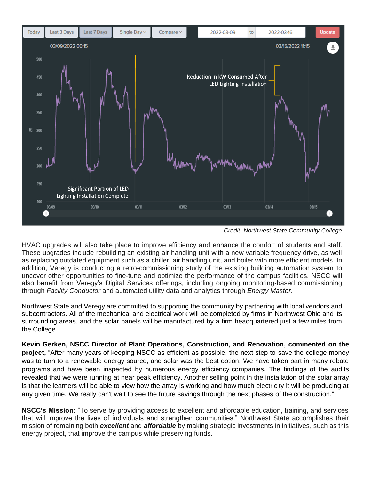

*Credit: Northwest State Community College*

HVAC upgrades will also take place to improve efficiency and enhance the comfort of students and staff. These upgrades include rebuilding an existing air handling unit with a new variable frequency drive, as well as replacing outdated equipment such as a chiller, air handling unit, and boiler with more efficient models. In addition, Veregy is conducting a retro-commissioning study of the existing building automation system to uncover other opportunities to fine-tune and optimize the performance of the campus facilities. NSCC will also benefit from Veregy's Digital Services offerings, including ongoing monitoring-based commissioning through *Facility Conductor* and automated utility data and analytics through *Energy Master*.

Northwest State and Veregy are committed to supporting the community by partnering with local vendors and subcontractors. All of the mechanical and electrical work will be completed by firms in Northwest Ohio and its surrounding areas, and the solar panels will be manufactured by a firm headquartered just a few miles from the College.

**Kevin Gerken, NSCC Director of Plant Operations, Construction, and Renovation, commented on the project,** "After many years of keeping NSCC as efficient as possible, the next step to save the college money was to turn to a renewable energy source, and solar was the best option. We have taken part in many rebate programs and have been inspected by numerous energy efficiency companies. The findings of the audits revealed that we were running at near peak efficiency. Another selling point in the installation of the solar array is that the learners will be able to view how the array is working and how much electricity it will be producing at any given time. We really can't wait to see the future savings through the next phases of the construction."

**NSCC's Mission:** "To serve by providing access to excellent and affordable education, training, and services that will improve the lives of individuals and strengthen communities." Northwest State accomplishes their mission of remaining both *excellent* and *affordable* by making strategic investments in initiatives, such as this energy project, that improve the campus while preserving funds.